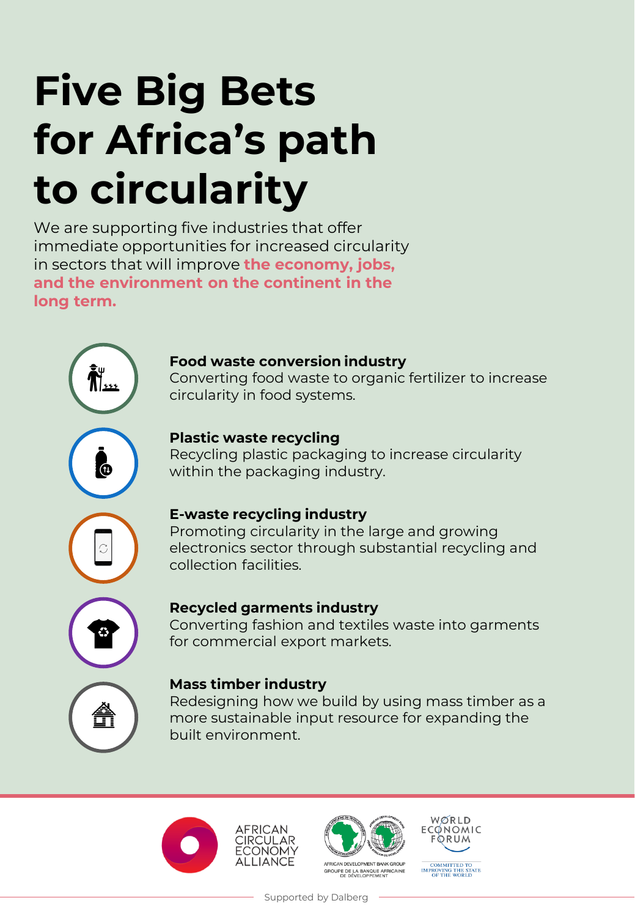# **Five Big Bets for Africa's path to circularity**

We are supporting five industries that offer immediate opportunities for increased circularity in sectors that will improve **the economy, jobs, and the environment on the continent in the long term.** 



Converting food waste to organic fertilizer to increase circularity in food systems.



#### **Plastic waste recycling**

Recycling plastic packaging to increase circularity within the packaging industry.

### **E-waste recycling industry**

Promoting circularity in the large and growing electronics sector through substantial recycling and collection facilities.

#### **Recycled garments industry**

Converting fashion and textiles waste into garments for commercial export markets.

#### **Mass timber industry**

Redesigning how we build by using mass timber as a more sustainable input resource for expanding the built environment.









COMMITTED TO<br>IMPROVING THE STATE<br>OF THE WORLD

Supported by Dalberg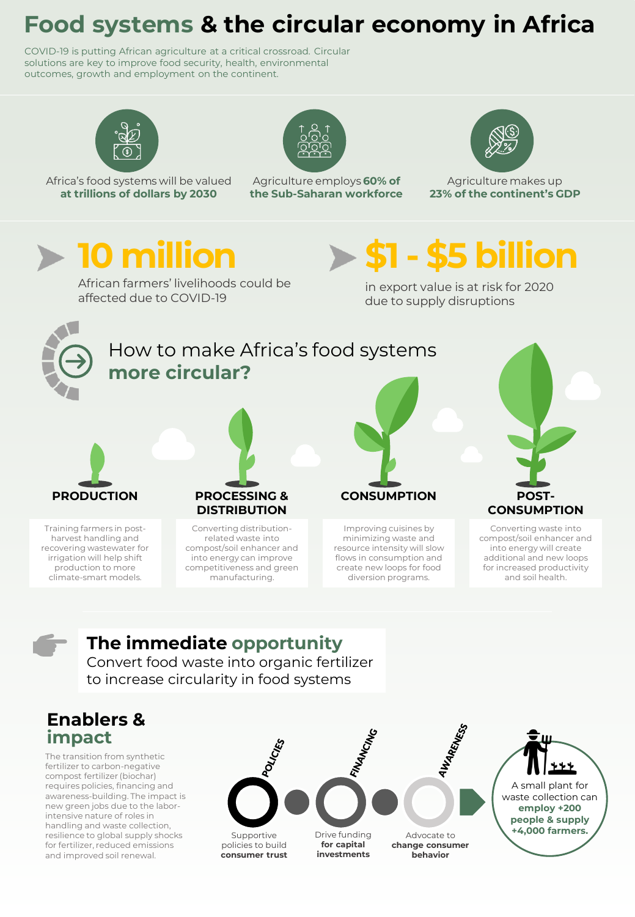### **Food systems & the circular economy in Africa**

COVID-19 is putting African agriculture at a critical crossroad. Circular solutions are key to improve food security, health, environmental outcomes, growth and employment on the continent.



Africa's food systems will be valued **at trillions of dollars by 2030**



Agriculture employs **60% of the Sub-Saharan workforce**



Agriculture makes up **23% of the continent's GDP**

**\$5 billion** 

## **10 million**

African farmers' livelihoods could be affected due to COVID-19

in export value is at risk for 2020 due to supply disruptions



### How to make Africa's food systems **more circular?**



Training farmers in postharvest handling and recovering wastewater for irrigation will help shift production to more climate-smart models.



Converting distributionrelated waste into compost/soil enhancer and into energy can improve competitiveness and green manufacturing.



Improving cuisines by minimizing waste and resource intensity will slow flows in consumption and create new loops for food diversion programs.



Converting waste into compost/soil enhancer and into energy will create additional and new loops for increased productivity and soil health.



### **The immediate opportunity**

Convert food waste into organic fertilizer to increase circularity in food systems

### **Enablers & impact**

The transition from synthetic fertilizer to carbon-negative compost fertilizer (biochar) requires policies, financing and awareness-building. The impact is new green jobs due to the laborintensive nature of roles in handling and waste collection, resilience to global supply shocks for fertilizer, reduced emissions and improved soil renewal.



Supportive policies to build **consumer trust**

Drive funding **for capital investments**

Advocate to **change consumer behavior**

AWARENESS



A small plant for waste collection can **employ +200 people & supply +4,000 farmers.**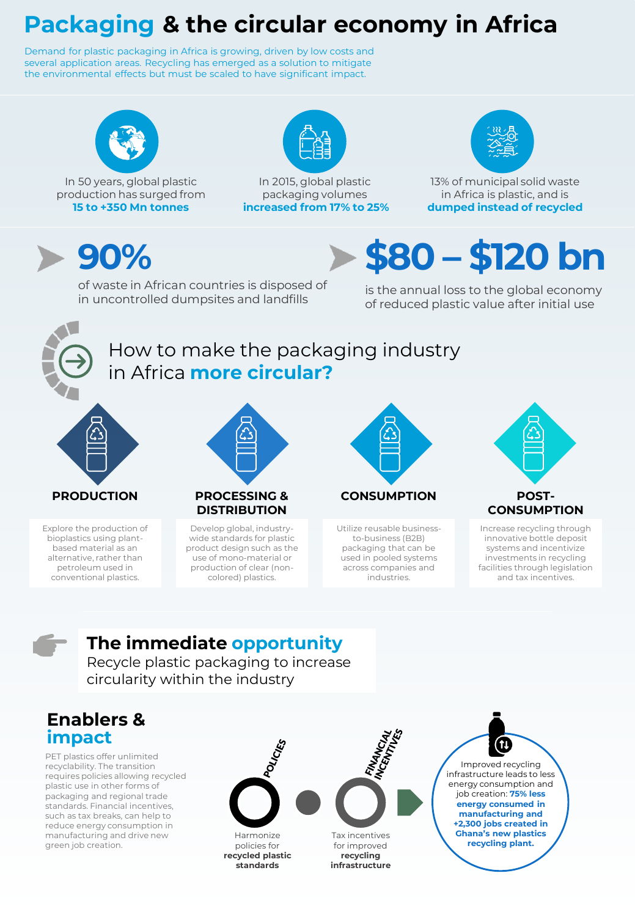## **Packaging & the circular economy in Africa**

Demand for plastic packaging in Africa is growing, driven by low costs and several application areas. Recycling has emerged as a solution to mitigate the environmental effects but must be scaled to have significant impact.



In 50 years, global plastic production has surged from **15 to +350 Mn tonnes**



In 2015, global plastic packaging volumes **increased from 17% to 25%**



13% of municipal solid waste in Africa is plastic, and is **dumped instead of recycled** 

## **90%**

of waste in African countries is disposed of in uncontrolled dumpsites and landfills

is the annual loss to the global economy of reduced plastic value after initial use

**\$80 – \$120 bn**



### How to make the packaging industry in Africa **more circular?**



Explore the production of bioplastics using plantbased material as an alternative, rather than petroleum used in conventional plastics.



### **DISTRIBUTION**

Develop global, industrywide standards for plastic product design such as the use of mono-material or production of clear (noncolored) plastics.



Utilize reusable businessto-business (B2B) packaging that can be used in pooled systems across companies and industries.



Increase recycling through innovative bottle deposit systems and incentivize investments in recycling facilities through legislation and tax incentives.



### **The immediate opportunity**

Recycle plastic packaging to increase circularity within the industry

### **Enablers & impact**

PET plastics offer unlimited recyclability. The transition requires policies allowing recycled plastic use in other forms of packaging and regional trade standards. Financial incentives, such as tax breaks, can help to reduce energy consumption in manufacturing and drive new green job creation.





Tax incentives for improved **recycling infrastructure**

Improved recycling infrastructure leads to less energy consumption and job creation: **75% less energy consumed in manufacturing and +2,300 jobs created in Ghana's new plastics recycling plant.**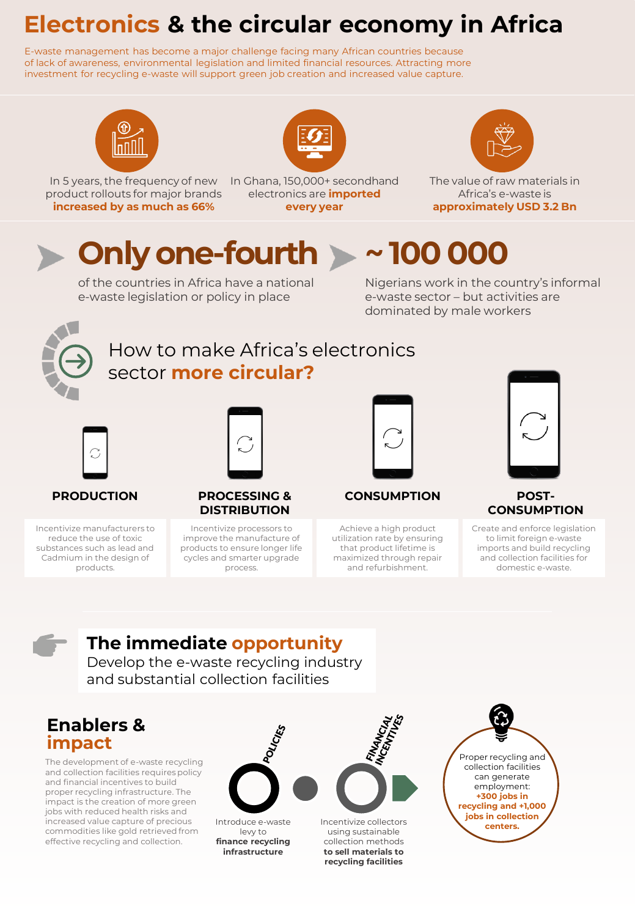## **Electronics & the circular economy in Africa**

E-waste management has become a major challenge facing many African countries because of lack of awareness, environmental legislation and limited financial resources. Attracting more investment for recycling e-waste will support green job creation and increased value capture.



In 5 years, the frequency of new In Ghana, 150,000+ secondhand product rollouts for major brands **increased by as much as 66%** 

electronics are **imported every year**



The value of raw materials in Africa's e-waste is **approximately USD 3.2 Bn**

## **Onlyone-fourth ~ 100 000**

of the countries in Africa have a national e-waste legislation or policy in place

**PRODUCTION PROCESSING &** 

Nigerians work in the country's informal e-waste sector – but activities are dominated by male workers



### How to make Africa's electronics sector **more circular?**



#### **CONSUMPTION POST-**

Achieve a high product utilization rate by ensuring that product lifetime is maximized through repair and refurbishment.



### **CONSUMPTION**

Create and enforce legislation to limit foreign e-waste imports and build recycling and collection facilities for domestic e-waste.



### **The immediate opportunity**

Develop the e-waste recycling industry and substantial collection facilities

Incentivize processors to improve the manufacture of products to ensure longer life cycles and smarter upgrade process.

**DISTRIBUTION**

### **Enablers & impact**

Incentivize manufacturers to reduce the use of toxic substances such as lead and Cadmium in the design of products.

The development of e-waste recycling and collection facilities requires policy and financial incentives to build proper recycling infrastructure. The impact is the creation of more green jobs with reduced health risks and increased value capture of precious commodities like gold retrieved from effective recycling and collection.



Introduce e-waste levy to **finance recycling infrastructure**

Incentivize collectors using sustainable collection methods **to sell materials to recycling facilities**

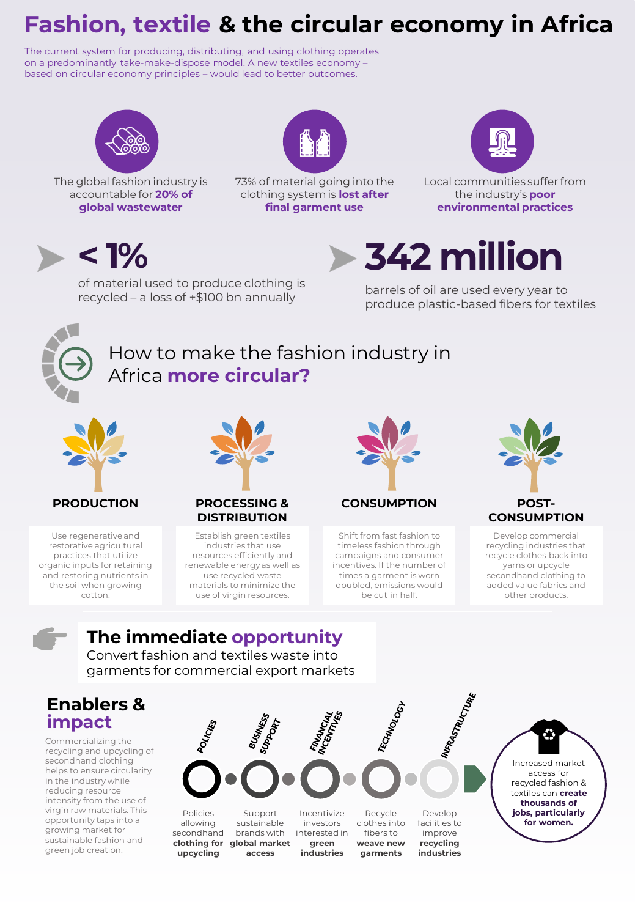## **Fashion, textile & the circular economy in Africa**

The current system for producing, distributing, and using clothing operates on a predominantly take-make-dispose model. A new textiles economy – based on circular economy principles – would lead to better outcomes.



The global fashion industry is accountable for **20% of global wastewater**





73% of material going into the clothing system is **lost after final garment use**

Local communities suffer from the industry's **poor environmental practices**

**< 1%**

of material used to produce clothing is recycled – a loss of +\$100 bn annually



barrels of oil are used every year to produce plastic-based fibers for textiles



### How to make the fashion industry in Africa **more circular?**



#### **PRODUCTION**

Use regenerative and restorative agricultural practices that utilize organic inputs for retaining and restoring nutrients in the soil when growing cotton.



#### **PROCESSING & DISTRIBUTION**

Establish green textiles industries that use resources efficiently and renewable energy as well as use recycled waste materials to minimize the use of virgin resources.



Shift from fast fashion to timeless fashion through campaigns and consumer incentives. If the number of times a garment is worn doubled, emissions would be cut in half.



Develop commercial recycling industries that recycle clothes back into yarns or upcycle secondhand clothing to added value fabrics and other products.



#### **The immediate opportunity** Convert fashion and textiles waste into

garments for commercial export markets

### **Enablers & impact**

Commercializing the recycling and upcycling of secondhand clothing helps to ensure circularity in the industry while reducing resource intensity from the use of virgin raw materials. This opportunity taps into a growing market for sustainable fashion and green job creation.